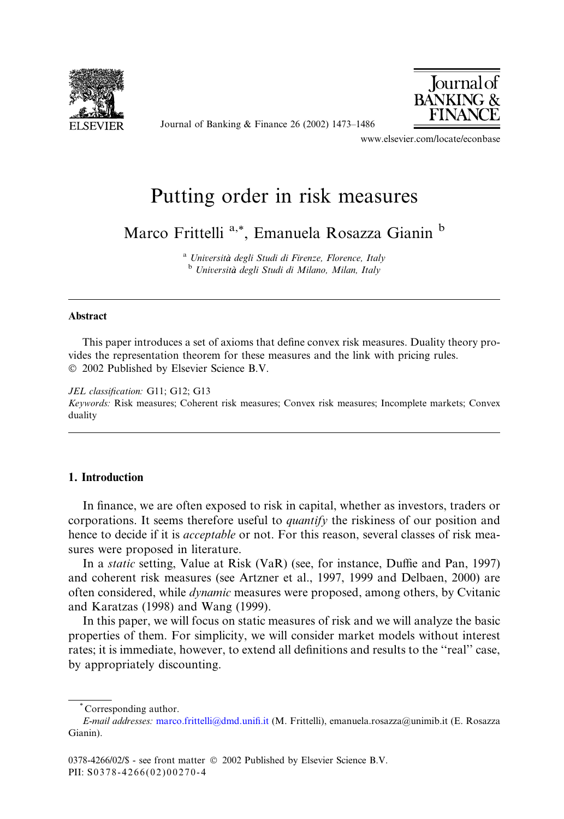

Journal of Banking & Finance 26 (2002) 1473–1486



www.elsevier.com/locate/econbase

# Putting order in risk measures

Marco Frittelli<sup>a,\*</sup>, Emanuela Rosazza Gianin<sup>b</sup>

<sup>a</sup> Università degli Studi di Firenze, Florence, Italy b Università degli Studi di Milano, Milan, Italy

## Abstract

This paper introduces a set of axioms that define convex risk measures. Duality theory provides the representation theorem for these measures and the link with pricing rules. 2002 Published by Elsevier Science B.V.

#### JEL classification: G11; G12; G13

Keywords: Risk measures; Coherent risk measures; Convex risk measures; Incomplete markets; Convex duality

## 1. Introduction

In finance, we are often exposed to risk in capital, whether as investors, traders or corporations. It seems therefore useful to quantify the riskiness of our position and hence to decide if it is *acceptable* or not. For this reason, several classes of risk measures were proposed in literature.

In a static setting, Value at Risk (VaR) (see, for instance, Duffie and Pan, 1997) and coherent risk measures (see Artzner et al., 1997, 1999 and Delbaen, 2000) are often considered, while dynamic measures were proposed, among others, by Cvitanic and Karatzas (1998) and Wang (1999).

In this paper, we will focus on static measures of risk and we will analyze the basic properties of them. For simplicity, we will consider market models without interest rates; it is immediate, however, to extend all definitions and results to the ''real'' case, by appropriately discounting.

Corresponding author.

E-mail addresses: [marco.frittelli@dmd.unifi.it](mail to: marco.frittelli@dmd.unifi.it) (M. Frittelli), emanuela.rosazza@unimib.it (E. Rosazza Gianin).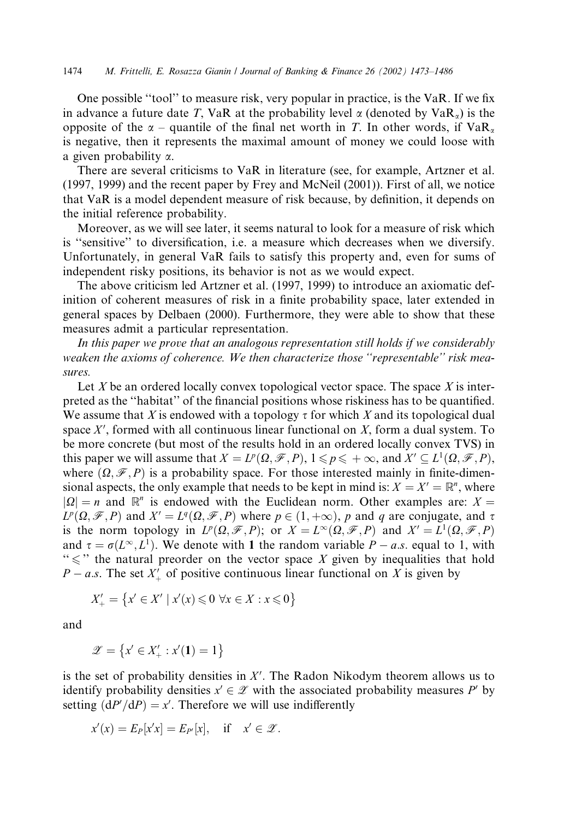One possible ''tool'' to measure risk, very popular in practice, is the VaR. If we fix in advance a future date T, VaR at the probability level  $\alpha$  (denoted by VaR<sub>a</sub>) is the opposite of the  $\alpha$  – quantile of the final net worth in T. In other words, if  $VaR_{\alpha}$ is negative, then it represents the maximal amount of money we could loose with a given probability a.

There are several criticisms to VaR in literature (see, for example, Artzner et al. (1997, 1999) and the recent paper by Frey and McNeil (2001)). First of all, we notice that VaR is a model dependent measure of risk because, by definition, it depends on the initial reference probability.

Moreover, as we will see later, it seems natural to look for a measure of risk which is ''sensitive'' to diversification, i.e. a measure which decreases when we diversify. Unfortunately, in general VaR fails to satisfy this property and, even for sums of independent risky positions, its behavior is not as we would expect.

The above criticism led Artzner et al. (1997, 1999) to introduce an axiomatic definition of coherent measures of risk in a finite probability space, later extended in general spaces by Delbaen (2000). Furthermore, they were able to show that these measures admit a particular representation.

In this paper we prove that an analogous representation still holds if we considerably weaken the axioms of coherence. We then characterize those ''representable'' risk measures.

Let X be an ordered locally convex topological vector space. The space X is interpreted as the ''habitat'' of the financial positions whose riskiness has to be quantified. We assume that X is endowed with a topology  $\tau$  for which X and its topological dual space  $X'$ , formed with all continuous linear functional on  $X$ , form a dual system. To be more concrete (but most of the results hold in an ordered locally convex TVS) in this paper we will assume that  $X = L^p(\Omega, \mathcal{F}, P)$ ,  $1 \leq p \leq +\infty$ , and  $X' \subseteq L^1(\Omega, \mathcal{F}, P)$ , where  $(\Omega, \mathcal{F}, P)$  is a probability space. For those interested mainly in finite-dimensional aspects, the only example that needs to be kept in mind is:  $X = X' = \mathbb{R}^n$ , where  $|Q| = n$  and  $\mathbb{R}^n$  is endowed with the Euclidean norm. Other examples are:  $X =$  $L^p(\Omega, \mathcal{F}, P)$  and  $X' = L^q(\Omega, \mathcal{F}, P)$  where  $p \in (1, +\infty)$ , p and q are conjugate, and  $\tau$ is the norm topology in  $L^p(\Omega, \mathcal{F}, P)$ ; or  $X = L^{\infty}(\Omega, \mathcal{F}, P)$  and  $X' = L^1(\Omega, \mathcal{F}, P)$ and  $\tau = \sigma(L^{\infty}, L^1)$ . We denote with 1 the random variable  $P - a.s.$  equal to 1, with " $\leq$ " the natural preorder on the vector space X given by inequalities that hold  $P - a.s$ . The set  $X'_{+}$  of positive continuous linear functional on X is given by

$$
X'_{+} = \{ x' \in X' \mid x'(x) \leq 0 \,\,\forall x \in X : x \leq 0 \}
$$

and

$$
\mathscr{Z} = \left\{ x' \in X'_+ : x'(\mathbf{1}) = 1 \right\}
$$

is the set of probability densities in  $X'$ . The Radon Nikodym theorem allows us to identify probability densities  $x' \in \mathcal{Z}$  with the associated probability measures P' by setting  $(dP'/dP) = x'$ . Therefore we will use indifferently

$$
x'(x) = E_P[x'x] = E_{P'}[x], \quad \text{if} \quad x' \in \mathscr{Z}.
$$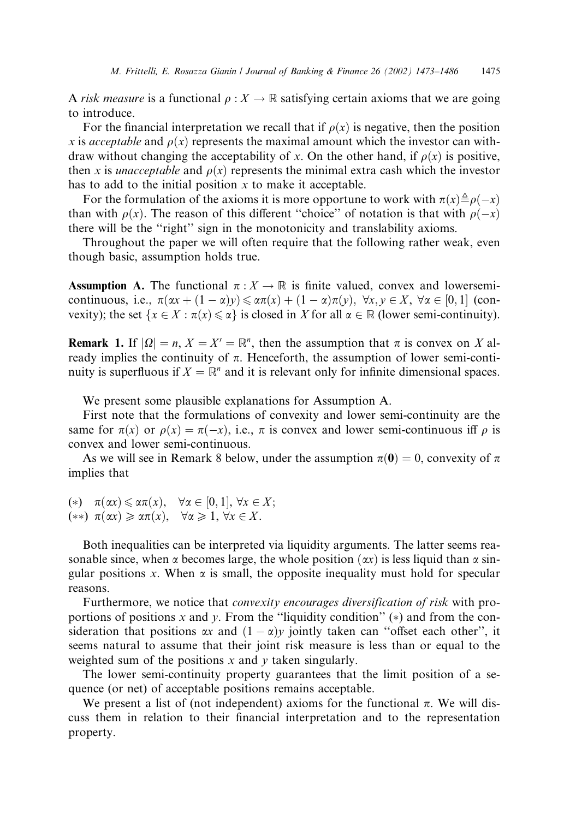A risk measure is a functional  $\rho : X \to \mathbb{R}$  satisfying certain axioms that we are going to introduce.

For the financial interpretation we recall that if  $\rho(x)$  is negative, then the position x is acceptable and  $\rho(x)$  represents the maximal amount which the investor can withdraw without changing the acceptability of x. On the other hand, if  $\rho(x)$  is positive, then x is *unacceptable* and  $\rho(x)$  represents the minimal extra cash which the investor has to add to the initial position  $x$  to make it acceptable.

For the formulation of the axioms it is more opportune to work with  $\pi(x) \triangleq \rho(-x)$ than with  $\rho(x)$ . The reason of this different "choice" of notation is that with  $\rho(-x)$ there will be the ''right'' sign in the monotonicity and translability axioms.

Throughout the paper we will often require that the following rather weak, even though basic, assumption holds true.

**Assumption A.** The functional  $\pi : X \to \mathbb{R}$  is finite valued, convex and lowersemicontinuous, i.e.,  $\pi(\alpha x + (1 - \alpha)y) \le \alpha \pi(x) + (1 - \alpha) \pi(y)$ ,  $\forall x, y \in X$ ,  $\forall \alpha \in [0, 1]$  (convexity); the set  $\{x \in X : \pi(x) \leq \alpha\}$  is closed in X for all  $\alpha \in \mathbb{R}$  (lower semi-continuity).

**Remark 1.** If  $|\Omega| = n$ ,  $X = X' = \mathbb{R}^n$ , then the assumption that  $\pi$  is convex on X already implies the continuity of  $\pi$ . Henceforth, the assumption of lower semi-continuity is superfluous if  $X = \mathbb{R}^n$  and it is relevant only for infinite dimensional spaces.

We present some plausible explanations for Assumption A.

First note that the formulations of convexity and lower semi-continuity are the same for  $\pi(x)$  or  $\rho(x) = \pi(-x)$ , i.e.,  $\pi$  is convex and lower semi-continuous iff  $\rho$  is convex and lower semi-continuous.

As we will see in Remark 8 below, under the assumption  $\pi(0) = 0$ , convexity of  $\pi$ implies that

(\*)  $\pi(\alpha x) \leq \alpha \pi(x), \quad \forall \alpha \in [0, 1], \forall x \in X;$  $(**)$   $\pi(\alpha x) \geq \alpha \pi(x), \quad \forall \alpha \geq 1, \forall x \in X.$ 

Both inequalities can be interpreted via liquidity arguments. The latter seems reasonable since, when  $\alpha$  becomes large, the whole position  $(\alpha x)$  is less liquid than  $\alpha$  singular positions x. When  $\alpha$  is small, the opposite inequality must hold for specular reasons.

Furthermore, we notice that *convexity encourages diversification of risk* with proportions of positions x and y. From the "liquidity condition"  $(*)$  and from the consideration that positions  $\alpha x$  and  $(1 - \alpha)y$  jointly taken can "offset each other", it seems natural to assume that their joint risk measure is less than or equal to the weighted sum of the positions x and y taken singularly.

The lower semi-continuity property guarantees that the limit position of a sequence (or net) of acceptable positions remains acceptable.

We present a list of (not independent) axioms for the functional  $\pi$ . We will discuss them in relation to their financial interpretation and to the representation property.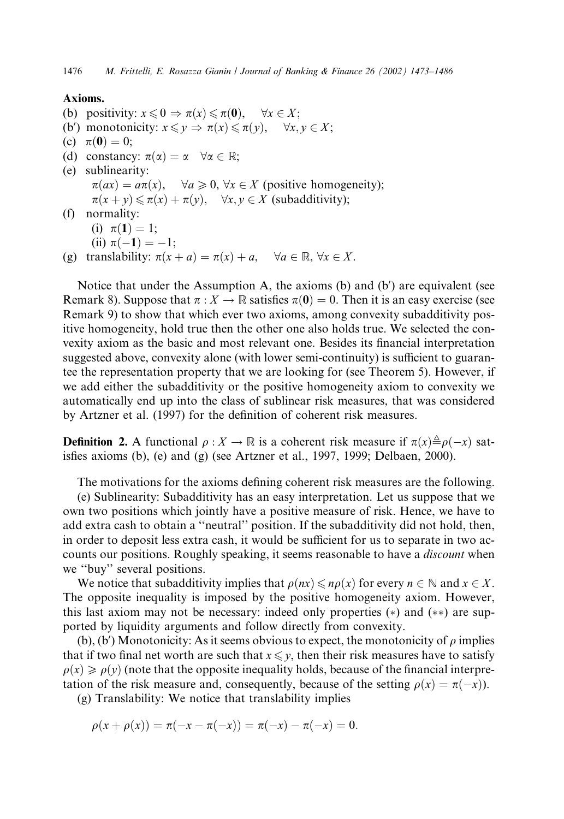# Axioms.

- (b) positivity:  $x \le 0 \Rightarrow \pi(x) \le \pi(0)$ ,  $\forall x \in X$ ;
- (b') monotonicity:  $x \leq y \Rightarrow \pi(x) \leq \pi(y)$ ,  $\forall x, y \in X$ ;
- (c)  $\pi(0) = 0;$
- (d) constancy:  $\pi(\alpha) = \alpha \quad \forall \alpha \in \mathbb{R}$ ;
- (e) sublinearity:  $\pi(ax) = a\pi(x), \quad \forall a \geqslant 0, \forall x \in X$  (positive homogeneity);  $\pi(x + y) \leq \pi(x) + \pi(y), \quad \forall x, y \in X$  (subadditivity);
- (f) normality:
	- (i)  $\pi(1) = 1;$
	- (ii)  $\pi(-1) = -1;$
- (g) translability:  $\pi(x + a) = \pi(x) + a$ ,  $\forall a \in \mathbb{R}, \forall x \in X$ .

Notice that under the Assumption A, the axioms (b) and (b') are equivalent (see Remark 8). Suppose that  $\pi : X \to \mathbb{R}$  satisfies  $\pi(\mathbf{0}) = 0$ . Then it is an easy exercise (see Remark 9) to show that which ever two axioms, among convexity subadditivity positive homogeneity, hold true then the other one also holds true. We selected the convexity axiom as the basic and most relevant one. Besides its financial interpretation suggested above, convexity alone (with lower semi-continuity) is sufficient to guarantee the representation property that we are looking for (see Theorem 5). However, if we add either the subadditivity or the positive homogeneity axiom to convexity we automatically end up into the class of sublinear risk measures, that was considered by Artzner et al. (1997) for the definition of coherent risk measures.

**Definition 2.** A functional  $\rho : X \to \mathbb{R}$  is a coherent risk measure if  $\pi(x) \triangleq \rho(-x)$  satisfies axioms (b), (e) and (g) (see Artzner et al., 1997, 1999; Delbaen, 2000).

The motivations for the axioms defining coherent risk measures are the following.

(e) Sublinearity: Subadditivity has an easy interpretation. Let us suppose that we own two positions which jointly have a positive measure of risk. Hence, we have to add extra cash to obtain a ''neutral'' position. If the subadditivity did not hold, then, in order to deposit less extra cash, it would be sufficient for us to separate in two accounts our positions. Roughly speaking, it seems reasonable to have a *discount* when we ''buy'' several positions.

We notice that subadditivity implies that  $\rho(nx) \leq n\rho(x)$  for every  $n \in \mathbb{N}$  and  $x \in X$ . The opposite inequality is imposed by the positive homogeneity axiom. However, this last axiom may not be necessary: indeed only properties  $(*)$  and  $(**)$  are supported by liquidity arguments and follow directly from convexity.

(b), (b') Monotonicity: As it seems obvious to expect, the monotonicity of  $\rho$  implies that if two final net worth are such that  $x \leq y$ , then their risk measures have to satisfy  $\rho(x) \geq \rho(y)$  (note that the opposite inequality holds, because of the financial interpretation of the risk measure and, consequently, because of the setting  $\rho(x) = \pi(-x)$ ).

(g) Translability: We notice that translability implies

 $\rho(x + \rho(x)) = \pi(-x - \pi(-x)) = \pi(-x) - \pi(-x) = 0.$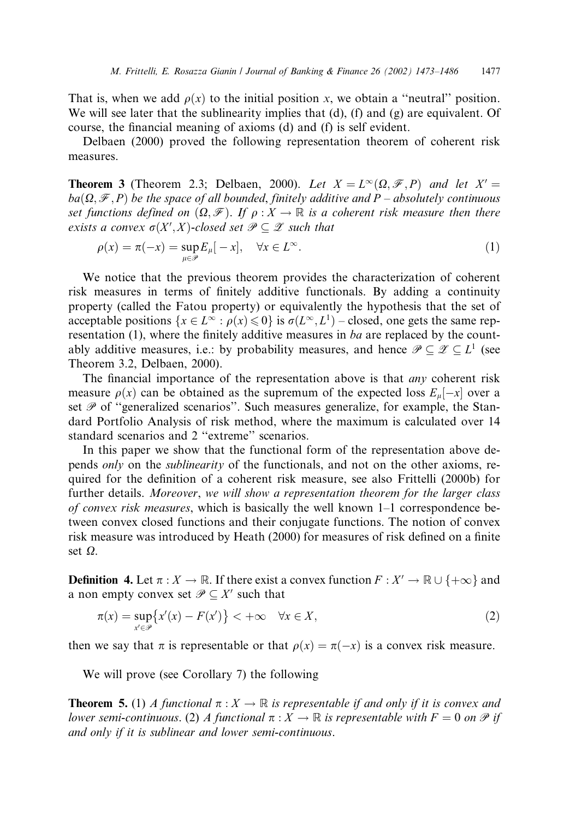That is, when we add  $\rho(x)$  to the initial position x, we obtain a "neutral" position. We will see later that the sublinearity implies that  $(d)$ ,  $(f)$  and  $(g)$  are equivalent. Of course, the financial meaning of axioms (d) and (f) is self evident.

Delbaen (2000) proved the following representation theorem of coherent risk measures.

**Theorem 3** (Theorem 2.3; Delbaen, 2000). Let  $X = L^{\infty}(\Omega, \mathcal{F}, P)$  and let  $X' =$  $ba(\Omega, \mathcal{F}, P)$  be the space of all bounded, finitely additive and P – absolutely continuous set functions defined on  $(\Omega, \mathcal{F})$ . If  $\rho : X \to \mathbb{R}$  is a coherent risk measure then there exists a convex  $\sigma(X',X)$ -closed set  $\mathscr{P} \subseteq \mathscr{Z}$  such that

$$
\rho(x) = \pi(-x) = \sup_{\mu \in \mathcal{P}} E_{\mu}[-x], \quad \forall x \in L^{\infty}.
$$
\n(1)

We notice that the previous theorem provides the characterization of coherent risk measures in terms of finitely additive functionals. By adding a continuity property (called the Fatou property) or equivalently the hypothesis that the set of acceptable positions  $\{x \in L^{\infty} : \rho(x) \leq 0\}$  is  $\sigma(L^{\infty}, L^1)$  – closed, one gets the same representation (1), where the finitely additive measures in ba are replaced by the countably additive measures, i.e.: by probability measures, and hence  $\mathscr{P} \subseteq \mathscr{Z} \subseteq L^1$  (see Theorem 3.2, Delbaen, 2000).

The financial importance of the representation above is that  $an<sub>V</sub>$  coherent risk measure  $\rho(x)$  can be obtained as the supremum of the expected loss  $E_{\mu}[-x]$  over a set  $\mathscr P$  of "generalized scenarios". Such measures generalize, for example, the Standard Portfolio Analysis of risk method, where the maximum is calculated over 14 standard scenarios and 2 ''extreme'' scenarios.

In this paper we show that the functional form of the representation above depends only on the sublinearity of the functionals, and not on the other axioms, required for the definition of a coherent risk measure, see also Frittelli (2000b) for further details. Moreover, we will show a representation theorem for the larger class of convex risk measures, which is basically the well known  $1-1$  correspondence between convex closed functions and their conjugate functions. The notion of convex risk measure was introduced by Heath (2000) for measures of risk defined on a finite set  $\Omega$ .

**Definition 4.** Let  $\pi : X \to \mathbb{R}$ . If there exist a convex function  $F : X' \to \mathbb{R} \cup \{+\infty\}$  and a non empty convex set  $\mathcal{P} \subseteq X'$  such that

$$
\pi(x) = \sup_{x' \in \mathcal{P}} \{ x'(x) - F(x') \} < +\infty \quad \forall x \in X,
$$
\n(2)

then we say that  $\pi$  is representable or that  $\rho(x) = \pi(-x)$  is a convex risk measure.

We will prove (see Corollary 7) the following

**Theorem 5.** (1) A functional  $\pi : X \to \mathbb{R}$  is representable if and only if it is convex and lower semi-continuous. (2) A functional  $\pi : X \to \mathbb{R}$  is representable with  $F = 0$  on  $\mathcal P$  if and only if it is sublinear and lower semi-continuous.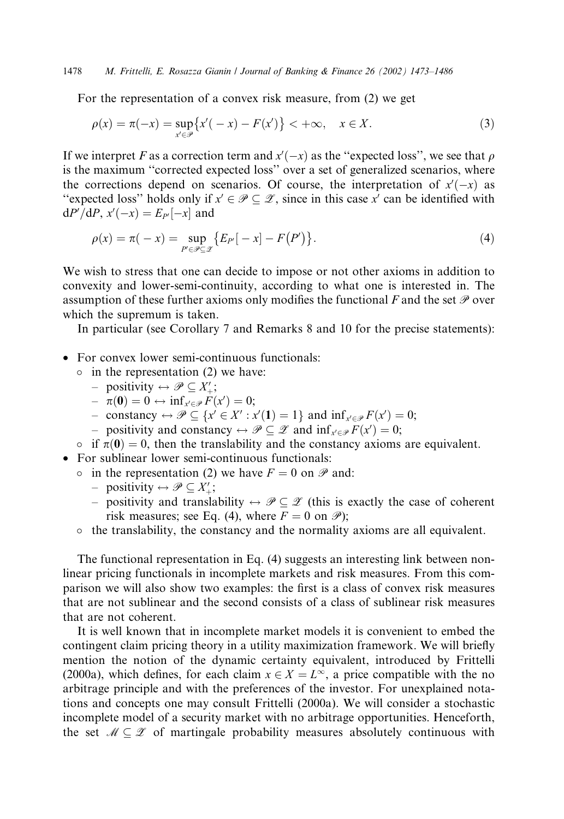1478 M. Frittelli, E. Rosazza Gianin / Journal of Banking & Finance 26 (2002) 1473–1486

For the representation of a convex risk measure, from (2) we get

$$
\rho(x) = \pi(-x) = \sup_{x' \in \mathcal{P}} \{ x'(-x) - F(x') \} < +\infty, \quad x \in X.
$$
 (3)

If we interpret F as a correction term and  $x'(-x)$  as the "expected loss", we see that  $\rho$ is the maximum ''corrected expected loss'' over a set of generalized scenarios, where the corrections depend on scenarios. Of course, the interpretation of  $x'(-x)$  as "expected loss" holds only if  $x' \in \mathcal{P} \subseteq \mathcal{Z}$ , since in this case  $x'$  can be identified with  $dP'/dP$ ,  $x'(-x) = E_{P'}[-x]$  and

$$
\rho(x) = \pi(-x) = \sup_{P' \in \mathcal{P} \subseteq \mathcal{X}} \{ E_{P'}[-x] - F(P') \}.
$$
\n(4)

We wish to stress that one can decide to impose or not other axioms in addition to convexity and lower-semi-continuity, according to what one is interested in. The assumption of these further axioms only modifies the functional F and the set  $P$  over which the supremum is taken.

In particular (see Corollary 7 and Remarks 8 and 10 for the precise statements):

- For convex lower semi-continuous functionals:
	- $\circ$  in the representation (2) we have:
		- positivity  $\Leftrightarrow \mathscr{P} \subseteq X'_{+};$
		- $\hphantom{h} \quad -\ \pi(\mathbf{0})=0 \leftrightarrow \inf_{x' \in \mathscr{P}} F(x')=0;$
		- constancy  $\leftrightarrow \mathcal{P} \subseteq \{x' \in X' : x'(\mathbf{1}) = 1\}$  and  $\inf_{x' \in \mathcal{P}} F(x') = 0;$
		- positivity and constancy  $\leftrightarrow \mathscr{P} \subseteq \mathscr{Z}$  and  $\inf_{x' \in \mathscr{P}} F(x') = 0;$
- $\circ$  if  $\pi(0) = 0$ , then the translability and the constancy axioms are equivalent.

• For sublinear lower semi-continuous functionals:

- in the representation (2) we have  $F = 0$  on  $\mathscr P$  and:
	- positivity  $\leftrightarrow \mathscr{P} \subseteq X'_{+};$
	- positivity and translability  $\leftrightarrow \mathscr{P} \subseteq \mathscr{Z}$  (this is exactly the case of coherent risk measures; see Eq. (4), where  $F = 0$  on  $\mathcal{P}$ );
- $\circ$  the translability, the constancy and the normality axioms are all equivalent.

The functional representation in Eq. (4) suggests an interesting link between nonlinear pricing functionals in incomplete markets and risk measures. From this comparison we will also show two examples: the first is a class of convex risk measures that are not sublinear and the second consists of a class of sublinear risk measures that are not coherent.

It is well known that in incomplete market models it is convenient to embed the contingent claim pricing theory in a utility maximization framework. We will briefly mention the notion of the dynamic certainty equivalent, introduced by Frittelli (2000a), which defines, for each claim  $x \in X = L^{\infty}$ , a price compatible with the no arbitrage principle and with the preferences of the investor. For unexplained notations and concepts one may consult Frittelli (2000a). We will consider a stochastic incomplete model of a security market with no arbitrage opportunities. Henceforth, the set  $M \subseteq \mathcal{Z}$  of martingale probability measures absolutely continuous with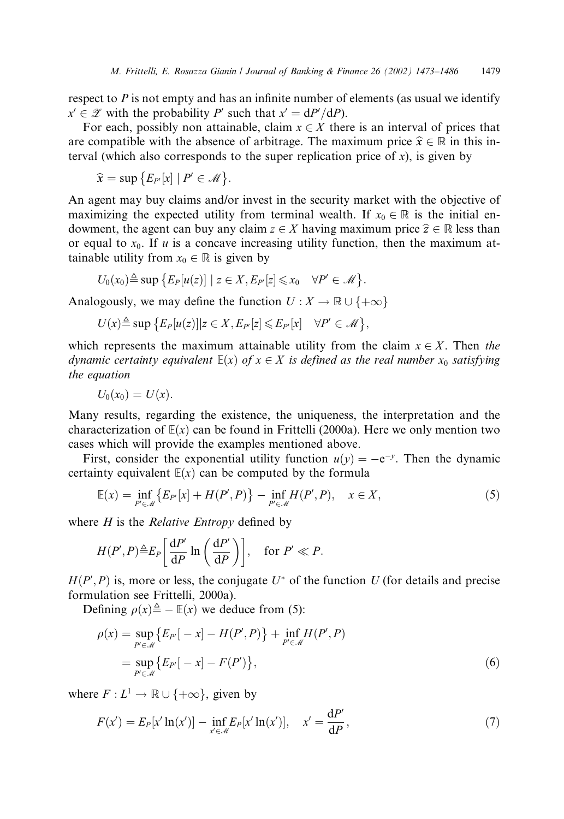respect to  $P$  is not empty and has an infinite number of elements (as usual we identify  $x' \in \mathscr{Z}$  with the probability P' such that  $x' = dP'/dP$ ).

For each, possibly non attainable, claim  $x \in X$  there is an interval of prices that are compatible with the absence of arbitrage. The maximum price  $\hat{x} \in \mathbb{R}$  in this interval (which also corresponds to the super replication price of  $x$ ), is given by

$$
\widehat{x} = \sup \{ E_{P'}[x] \mid P' \in \mathcal{M} \}.
$$

An agent may buy claims and/or invest in the security market with the objective of maximizing the expected utility from terminal wealth. If  $x_0 \in \mathbb{R}$  is the initial endowment, the agent can buy any claim  $z \in X$  having maximum price  $\hat{z} \in \mathbb{R}$  less than or equal to  $x_0$ . If u is a concave increasing utility function, then the maximum attainable utility from  $x_0 \in \mathbb{R}$  is given by

$$
U_0(x_0) \triangleq \sup \{ E_P[u(z)] \mid z \in X, E_{P'}[z] \leq x_0 \quad \forall P' \in \mathcal{M} \}.
$$

Analogously, we may define the function  $U : X \to \mathbb{R} \cup \{+\infty\}$ 

$$
U(x) \triangleq \sup \{ E_P[u(z)] | z \in X, E_{P'}[z] \leq E_{P'}[x] \quad \forall P' \in \mathcal{M} \},
$$

which represents the maximum attainable utility from the claim  $x \in X$ . Then the dynamic certainty equivalent  $\mathbb{E}(x)$  of  $x \in X$  is defined as the real number  $x_0$  satisfying the equation

$$
U_0(x_0)=U(x).
$$

Many results, regarding the existence, the uniqueness, the interpretation and the characterization of  $E(x)$  can be found in Frittelli (2000a). Here we only mention two cases which will provide the examples mentioned above.

First, consider the exponential utility function  $u(y) = -e^{-y}$ . Then the dynamic certainty equivalent  $E(x)$  can be computed by the formula

$$
\mathbb{E}(x) = \inf_{P' \in \mathcal{M}} \{ E_{P'}[x] + H(P', P) \} - \inf_{P' \in \mathcal{M}} H(P', P), \quad x \in X,
$$
 (5)

where  $H$  is the *Relative Entropy* defined by

$$
H(P', P)^{\underline{\triangle}} E_P \left[ \frac{\mathrm{d}P'}{\mathrm{d}P} \ln \left( \frac{\mathrm{d}P'}{\mathrm{d}P} \right) \right], \quad \text{for } P' \ll P.
$$

 $H(P', P)$  is, more or less, the conjugate  $U^*$  of the function U (for details and precise formulation see Frittelli, 2000a).

Defining  $\rho(x) \triangleq - \mathbb{E}(x)$  we deduce from (5):

$$
\rho(x) = \sup_{P' \in \mathcal{M}} \{ E_{P'}[-x] - H(P', P) \} + \inf_{P' \in \mathcal{M}} H(P', P) \n= \sup_{P' \in \mathcal{M}} \{ E_{P'}[-x] - F(P') \},
$$
\n(6)

where  $F: L^1 \to \mathbb{R} \cup \{+\infty\}$ , given by

$$
F(x') = E_P[x' \ln(x')] - \inf_{x' \in \mathcal{M}} E_P[x' \ln(x')], \quad x' = \frac{dP'}{dP},\tag{7}
$$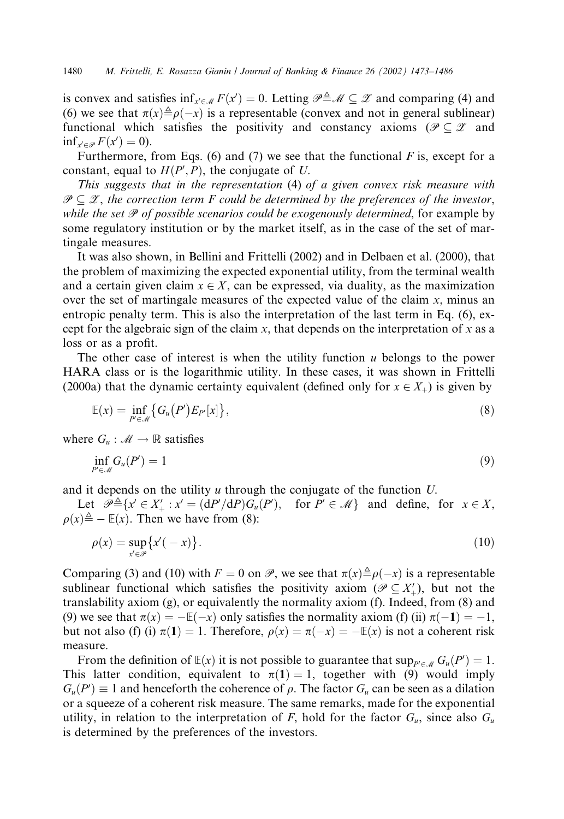is convex and satisfies  $\inf_{x' \in \mathcal{M}} F(x') = 0$ . Letting  $\mathcal{P} \triangleq \mathcal{M} \subseteq \mathcal{Z}$  and comparing (4) and (6) we see that  $\pi(x) \triangleq \rho(-x)$  is a representable (convex and not in general sublinear) functional which satisfies the positivity and constancy axioms ( $\mathcal{P} \subseteq \mathcal{Z}$  and  $\inf_{x' \in \mathcal{P}} F(x') = 0.$ 

Furthermore, from Eqs. (6) and (7) we see that the functional  $F$  is, except for a constant, equal to  $H(P', P)$ , the conjugate of U.

This suggests that in the representation (4) of a given convex risk measure with  $\mathscr{P} \subseteq \mathscr{Z}$ , the correction term F could be determined by the preferences of the investor, while the set  $P$  of possible scenarios could be exogenously determined, for example by some regulatory institution or by the market itself, as in the case of the set of martingale measures.

It was also shown, in Bellini and Frittelli (2002) and in Delbaen et al. (2000), that the problem of maximizing the expected exponential utility, from the terminal wealth and a certain given claim  $x \in X$ , can be expressed, via duality, as the maximization over the set of martingale measures of the expected value of the claim  $x$ , minus an entropic penalty term. This is also the interpretation of the last term in Eq. (6), except for the algebraic sign of the claim  $x$ , that depends on the interpretation of  $x$  as a loss or as a profit.

The other case of interest is when the utility function  $u$  belongs to the power HARA class or is the logarithmic utility. In these cases, it was shown in Frittelli (2000a) that the dynamic certainty equivalent (defined only for  $x \in X_+$ ) is given by

$$
\mathbb{E}(x) = \inf_{P' \in \mathcal{M}} \left\{ G_u(P') E_{P'}[x] \right\},\tag{8}
$$

where  $G_u : \mathcal{M} \to \mathbb{R}$  satisfies

$$
\inf_{P' \in \mathcal{M}} G_u(P') = 1 \tag{9}
$$

and it depends on the utility u through the conjugate of the function U.

Let  $\mathcal{P} \triangleq \{x' \in X'_+ : x' = (dP'/dP)G_u(P'), \text{ for } P' \in \mathcal{M}\}\$ and define, for  $x \in X$ ,  $\rho(x) \triangleq - \mathbb{E}(x)$ . Then we have from (8):

$$
\rho(x) = \sup_{x' \in \mathcal{P}} \{x'(-x)\}.
$$
\n(10)

Comparing (3) and (10) with  $F = 0$  on  $\mathcal{P}$ , we see that  $\pi(x) \triangleq \rho(-x)$  is a representable sublinear functional which satisfies the positivity axiom ( $\mathscr{P} \subseteq X'_{+}$ ), but not the translability axiom (g), or equivalently the normality axiom (f). Indeed, from (8) and (9) we see that  $\pi(x) = -\mathbb{E}(-x)$  only satisfies the normality axiom (f) (ii)  $\pi(-1) = -1$ , but not also (f) (i)  $\pi(1) = 1$ . Therefore,  $\rho(x) = \pi(-x) = -\mathbb{E}(x)$  is not a coherent risk measure.

From the definition of  $\mathbb{E}(x)$  it is not possible to guarantee that  $\sup_{P' \in \mathcal{M}} G_u(P') = 1$ . This latter condition, equivalent to  $\pi(1) = 1$ , together with (9) would imply  $G_u(P') \equiv 1$  and henceforth the coherence of  $\rho$ . The factor  $G_u$  can be seen as a dilation or a squeeze of a coherent risk measure. The same remarks, made for the exponential utility, in relation to the interpretation of F, hold for the factor  $G_u$ , since also  $G_u$ is determined by the preferences of the investors.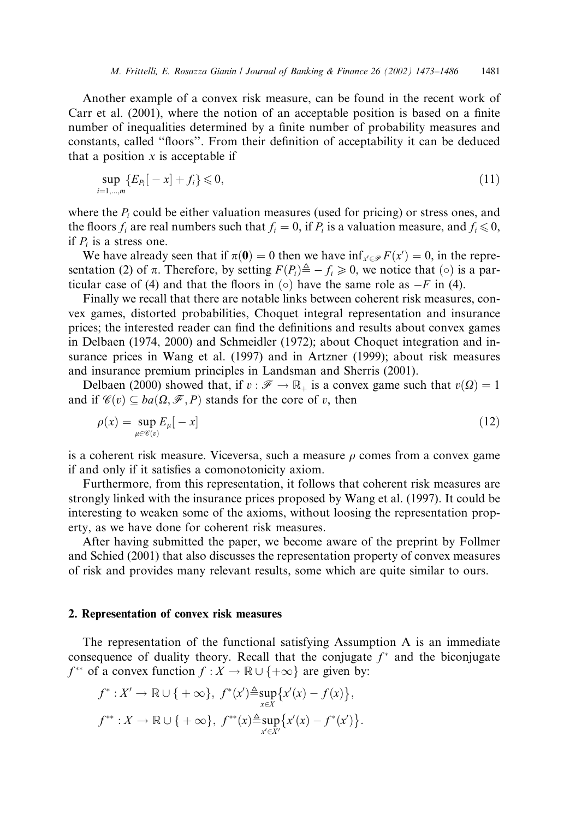Another example of a convex risk measure, can be found in the recent work of Carr et al. (2001), where the notion of an acceptable position is based on a finite number of inequalities determined by a finite number of probability measures and constants, called ''floors''. From their definition of acceptability it can be deduced that a position  $x$  is acceptable if

$$
\sup_{i=1,\dots,m} \{ E_{P_i}[-x] + f_i \} \leqslant 0,
$$
\n(11)

where the  $P_i$  could be either valuation measures (used for pricing) or stress ones, and the floors  $f_i$  are real numbers such that  $f_i = 0$ , if  $P_i$  is a valuation measure, and  $f_i \le 0$ , if  $P_i$  is a stress one.

We have already seen that if  $\pi(\mathbf{0}) = 0$  then we have  $\inf_{x' \in \mathcal{P}} F(x') = 0$ , in the representation (2) of  $\pi$ . Therefore, by setting  $F(P_i) \triangleq -f_i \geq 0$ , we notice that ( $\circ$ ) is a particular case of (4) and that the floors in  $\circ$  have the same role as  $-F$  in (4).

Finally we recall that there are notable links between coherent risk measures, convex games, distorted probabilities, Choquet integral representation and insurance prices; the interested reader can find the definitions and results about convex games in Delbaen (1974, 2000) and Schmeidler (1972); about Choquet integration and insurance prices in Wang et al. (1997) and in Artzner (1999); about risk measures and insurance premium principles in Landsman and Sherris (2001).

Delbaen (2000) showed that, if  $v : \mathscr{F} \to \mathbb{R}_+$  is a convex game such that  $v(\Omega) = 1$ and if  $\mathscr{C}(v) \subset ba(\Omega, \mathscr{F}, P)$  stands for the core of v, then

$$
\rho(x) = \sup_{\mu \in \mathscr{C}(v)} E_{\mu}[-x]
$$
\n(12)

is a coherent risk measure. Viceversa, such a measure  $\rho$  comes from a convex game if and only if it satisfies a comonotonicity axiom.

Furthermore, from this representation, it follows that coherent risk measures are strongly linked with the insurance prices proposed by Wang et al. (1997). It could be interesting to weaken some of the axioms, without loosing the representation property, as we have done for coherent risk measures.

After having submitted the paper, we become aware of the preprint by Follmer and Schied (2001) that also discusses the representation property of convex measures of risk and provides many relevant results, some which are quite similar to ours.

## 2. Representation of convex risk measures

The representation of the functional satisfying Assumption A is an immediate consequence of duality theory. Recall that the conjugate  $f^*$  and the biconjugate  $f^{**}$  of a convex function  $f: X \to \mathbb{R} \cup \{+\infty\}$  are given by:

$$
f^*: X' \to \mathbb{R} \cup \{ +\infty \}, f^*(x') \triangleq \sup_{x \in X} \{ x'(x) - f(x) \},
$$
  

$$
f^{**}: X \to \mathbb{R} \cup \{ +\infty \}, f^{**}(x) \triangleq \sup_{x' \in X'} \{ x'(x) - f^*(x') \}.
$$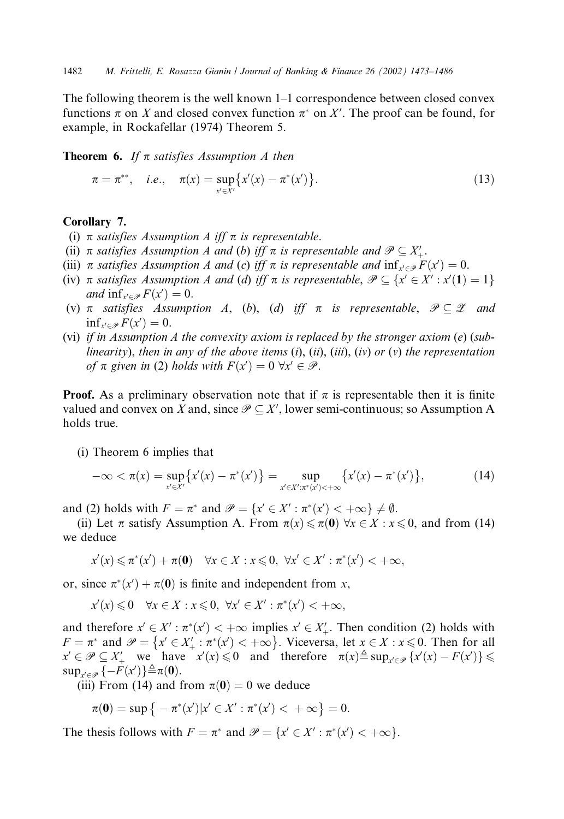The following theorem is the well known 1–1 correspondence between closed convex functions  $\pi$  on X and closed convex function  $\pi^*$  on X'. The proof can be found, for example, in Rockafellar (1974) Theorem 5.

**Theorem 6.** If  $\pi$  satisfies Assumption A then

$$
\pi = \pi^{**}, \quad i.e., \quad \pi(x) = \sup_{x' \in X'} \{x'(x) - \pi^*(x')\}.
$$
 (13)

## Corollary 7.

- (i)  $\pi$  satisfies Assumption A iff  $\pi$  is representable.
- (ii)  $\pi$  satisfies Assumption A and (b) iff  $\pi$  is representable and  $\mathscr{P} \subseteq X'_{+}$ .
- (iii)  $\pi$  satisfies Assumption A and (c) iff  $\pi$  is representable and  $\inf_{x' \in \mathcal{P}} F(x') = 0$ .
- (iv)  $\pi$  satisfies Assumption A and (d) iff  $\pi$  is representable,  $\mathcal{P} \subseteq \{x' \in X' : x'(\mathbf{1}) = 1\}$ and  $\inf_{x' \in \mathcal{P}} F(x') = 0$ .
- (v)  $\pi$  satisfies Assumption A, (b), (d) iff  $\pi$  is representable,  $\mathcal{P} \subseteq \mathcal{Z}$  and  $\inf_{x' \in \mathcal{P}} F(x') = 0.$
- (vi) if in Assumption A the convexity axiom is replaced by the stronger axiom  $(e)$  (sublinearity), then in any of the above items  $(i)$ ,  $(ii)$ ,  $(iii)$ ,  $(iv)$  or  $(v)$  the representation of  $\pi$  given in (2) holds with  $F(x') = 0 \ \forall x' \in \mathcal{P}$ .

**Proof.** As a preliminary observation note that if  $\pi$  is representable then it is finite valued and convex on X and, since  $\mathcal{P} \subseteq X'$ , lower semi-continuous; so Assumption A holds true.

(i) Theorem 6 implies that

$$
-\infty < \pi(x) = \sup_{x' \in X'} \{x'(x) - \pi^*(x')\} = \sup_{x' \in X': \pi^*(x') < +\infty} \{x'(x) - \pi^*(x')\},\tag{14}
$$

and (2) holds with  $F = \pi^*$  and  $\mathcal{P} = \{x' \in X' : \pi^*(x') < +\infty\} \neq \emptyset$ .

(ii) Let  $\pi$  satisfy Assumption A. From  $\pi(x) \leq \pi(0) \forall x \in X : x \leq 0$ , and from (14) we deduce

$$
x'(x) \leqslant \pi^*(x') + \pi(\mathbf{0}) \quad \forall x \in X : x \leqslant 0, \ \forall x' \in X' : \pi^*(x') < +\infty,
$$

or, since  $\pi^*(x') + \pi(0)$  is finite and independent from x,

$$
x'(x) \leq 0 \quad \forall x \in X : x \leq 0, \ \forall x' \in X' : \pi^*(x') < +\infty,
$$

and therefore  $x' \in X' : \pi^*(x') < +\infty$  implies  $x' \in X'_{+}$ . Then condition (2) holds with  $F = \pi^*$  and  $\mathcal{P} = \{x' \in X'_+ : \pi^*(x') < +\infty\}$ . Viceversa, let  $x \in X : x \le 0$ . Then for all  $x' \in \mathcal{P} \subseteq X'$  we have  $x'(x) \leq 0$  and therefore  $\pi(x) \triangleq \sup_{x' \in \mathcal{P}} \{x'(x) - F(x')\} \leq$  $\sup_{x' \in \mathcal{P}} \{-F(x')\} \triangleq \pi(\mathbf{0}).$ 

(iii) From (14) and from  $\pi(0) = 0$  we deduce

$$
\pi(\mathbf{0}) = \sup \big\{ -\pi^*(x') | x' \in X' : \pi^*(x') < +\infty \big\} = 0.
$$

The thesis follows with  $F = \pi^*$  and  $\mathcal{P} = \{x' \in X' : \pi^*(x') < +\infty\}.$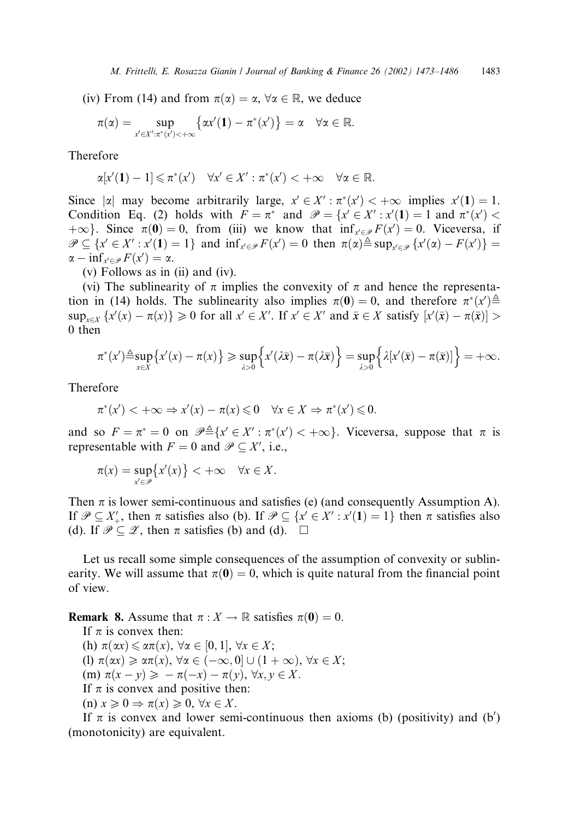(iv) From (14) and from  $\pi(\alpha) = \alpha$ ,  $\forall \alpha \in \mathbb{R}$ , we deduce

$$
\pi(\alpha)=\sup_{x'\in X':\pi^*(x')<+\infty}\bigl\{\alpha x'(1)-\pi^*(x')\bigr\}=\alpha\quad\forall\alpha\in\mathbb{R}.
$$

Therefore

$$
\alpha[x'(1)-1]\leqslant \pi^*(x')\quad \forall x'\in X': \pi^*(x')<+\infty\quad \forall \alpha\in\mathbb{R}.
$$

Since  $|\alpha|$  may become arbitrarily large,  $x' \in X' : \pi^*(x') < +\infty$  implies  $x'(1) = 1$ . Condition Eq. (2) holds with  $F = \pi^*$  and  $\mathcal{P} = \{x' \in X' : x'(1) = 1 \text{ and } \pi^*(x') <$  $+\infty$ . Since  $\pi(0) = 0$ , from (iii) we know that  $\inf_{x \in \mathcal{P}} F(x') = 0$ . Viceversa, if  $\mathscr{P} \subseteq \{x' \in X' : x'(1) = 1\}$  and  $\inf_{x' \in \mathscr{P}} F(x') = 0$  then  $\pi(\alpha) \triangleq \sup_{x' \in \mathscr{P}} \{x'(\alpha) - F(x')\} =$  $\alpha - \inf_{x' \in \mathcal{P}} F(x') = \alpha.$ 

(v) Follows as in (ii) and (iv).

(vi) The sublinearity of  $\pi$  implies the convexity of  $\pi$  and hence the representation in (14) holds. The sublinearity also implies  $\pi(\mathbf{0}) = 0$ , and therefore  $\pi^*(x) \triangleq$  $\sup_{x \in X} \{x'(x) - \pi(x)\} \geq 0$  for all  $x' \in X'$ . If  $x' \in X'$  and  $\bar{x} \in X$  satisfy  $[x'(\bar{x}) - \pi(\bar{x})] > 0$ 0 then

$$
\pi^*(x') \triangleq \sup_{x \in \mathcal{X}} \{x'(x) - \pi(x)\} \geq \sup_{\lambda > 0} \{x'(\lambda \bar{x}) - \pi(\lambda \bar{x})\} = \sup_{\lambda > 0} \{ \lambda[x'(\bar{x}) - \pi(\bar{x})]\} = +\infty.
$$

Therefore

$$
\pi^*(x') < +\infty \Rightarrow x'(x) - \pi(x) \leq 0 \quad \forall x \in X \Rightarrow \pi^*(x') \leq 0.
$$

and so  $F = \pi^* = 0$  on  $\mathcal{P} \triangleq \{x' \in X' : \pi^*(x') < +\infty\}$ . Viceversa, suppose that  $\pi$  is representable with  $F = 0$  and  $\mathcal{P} \subseteq X'$ , i.e.,

$$
\pi(x) = \sup_{x' \in \mathcal{P}} \{x'(x)\} < +\infty \quad \forall x \in X.
$$

Then  $\pi$  is lower semi-continuous and satisfies (e) (and consequently Assumption A). If  $\mathcal{P} \subseteq X'$ , then  $\pi$  satisfies also (b). If  $\mathcal{P} \subseteq \{x' \in X': x'(1) = 1\}$  then  $\pi$  satisfies also (d). If  $\mathscr{P} \subseteq \mathscr{Z}$ , then  $\pi$  satisfies (b) and (d).  $\Box$ 

Let us recall some simple consequences of the assumption of convexity or sublinearity. We will assume that  $\pi(0) = 0$ , which is quite natural from the financial point of view.

**Remark 8.** Assume that  $\pi : X \to \mathbb{R}$  satisfies  $\pi(\mathbf{0}) = 0$ .

If  $\pi$  is convex then:

(h)  $\pi(\alpha x) \leq \alpha \pi(x)$ ,  $\forall \alpha \in [0, 1]$ ,  $\forall x \in X$ ; (l)  $\pi(\alpha x) \geq \alpha \pi(x)$ ,  $\forall \alpha \in (-\infty, 0] \cup (1 + \infty)$ ,  $\forall x \in X$ ;  $(m) \pi(x - y) \geqslant -\pi(-x) - \pi(y), \forall x, y \in X.$ If  $\pi$  is convex and positive then: (n)  $x \geq 0 \Rightarrow \pi(x) \geq 0, \forall x \in X$ .

If  $\pi$  is convex and lower semi-continuous then axioms (b) (positivity) and (b') (monotonicity) are equivalent.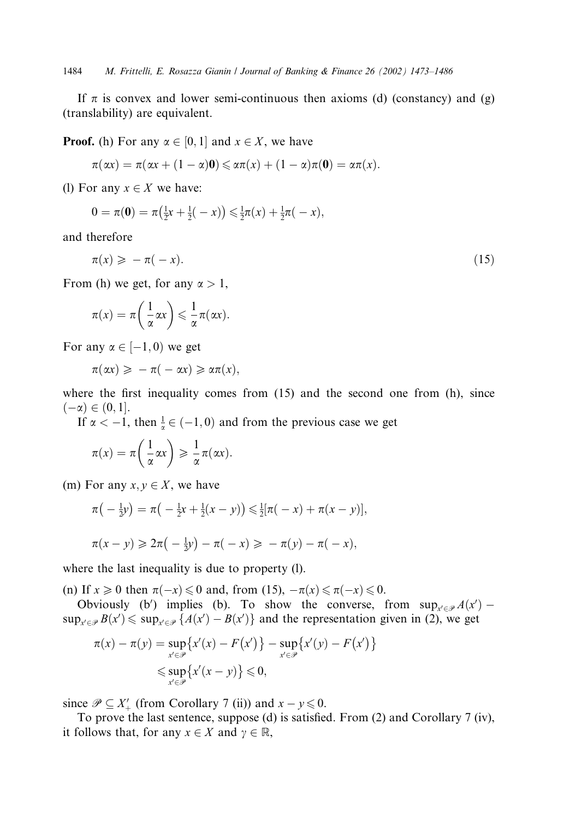1484 M. Frittelli, E. Rosazza Gianin / Journal of Banking & Finance 26 (2002) 1473–1486

If  $\pi$  is convex and lower semi-continuous then axioms (d) (constancy) and (g) (translability) are equivalent.

**Proof.** (h) For any  $\alpha \in [0, 1]$  and  $x \in X$ , we have

$$
\pi(\alpha x) = \pi(\alpha x + (1 - \alpha)\mathbf{0}) \leq \alpha \pi(x) + (1 - \alpha)\pi(\mathbf{0}) = \alpha \pi(x).
$$

(l) For any  $x \in X$  we have:

$$
0 = \pi(\mathbf{0}) = \pi(\frac{1}{2}x + \frac{1}{2}(-x)) \leq \frac{1}{2}\pi(x) + \frac{1}{2}\pi(-x),
$$

and therefore

$$
\pi(x) \geqslant -\pi(-x). \tag{15}
$$

From (h) we get, for any  $\alpha > 1$ ,

$$
\pi(x) = \pi\left(\frac{1}{\alpha}\alpha x\right) \leqslant \frac{1}{\alpha}\pi(\alpha x).
$$

For any  $\alpha \in [-1,0)$  we get

$$
\pi(\alpha x) \geqslant -\pi(-\alpha x) \geqslant \alpha \pi(x),
$$

where the first inequality comes from  $(15)$  and the second one from  $(h)$ , since  $(-\alpha) \in (0, 1].$ 

If  $\alpha < -1$ , then  $\frac{1}{\alpha} \in (-1, 0)$  and from the previous case we get

$$
\pi(x) = \pi\left(\frac{1}{\alpha}\alpha x\right) \geqslant \frac{1}{\alpha}\pi(\alpha x).
$$

(m) For any  $x, y \in X$ , we have

$$
\pi(-\frac{1}{2}y) = \pi(-\frac{1}{2}x + \frac{1}{2}(x - y)) \le \frac{1}{2}[\pi(-x) + \pi(x - y)],
$$
  

$$
\pi(x - y) \ge 2\pi(-\frac{1}{2}y) - \pi(-x) \ge -\pi(y) - \pi(-x),
$$

where the last inequality is due to property (l).

(n) If  $x \ge 0$  then  $\pi(-x) \le 0$  and, from (15),  $-\pi(x) \le \pi(-x) \le 0$ .

Obviously (b') implies (b). To show the converse, from  $\sup_{x' \in \mathcal{P}} A(x')$  –  $\sup_{x' \in \mathcal{P}} B(x') \leq \sup_{x' \in \mathcal{P}} \{A(x') - B(x')\}$  and the representation given in (2), we get

$$
\pi(x) - \pi(y) = \sup_{x' \in \mathcal{P}} \{x'(x) - F(x')\} - \sup_{x' \in \mathcal{P}} \{x'(y) - F(x')\}
$$
  

$$
\leq \sup_{x' \in \mathcal{P}} \{x'(x - y)\} \leq 0,
$$

since  $\mathscr{P} \subseteq X'_{+}$  (from Corollary 7 (ii)) and  $x - y \le 0$ .

To prove the last sentence, suppose (d) is satisfied. From (2) and Corollary 7 (iv), it follows that, for any  $x \in X$  and  $\gamma \in \mathbb{R}$ ,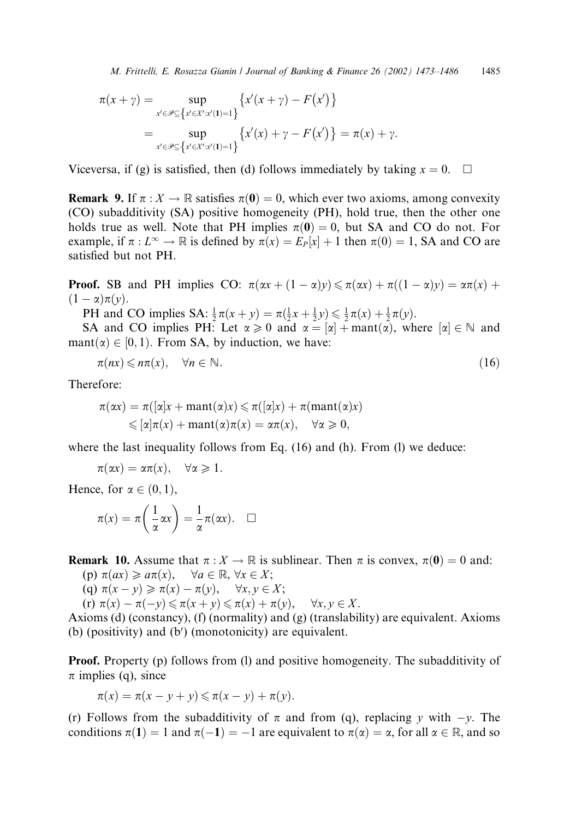$$
\pi(x + \gamma) = \sup_{x' \in \mathcal{P} \subseteq \{x' \in X': x'(1) = 1\}} \{x'(x + \gamma) - F(x')\}
$$
  
= 
$$
\sup_{x' \in \mathcal{P} \subseteq \{x' \in X': x'(1) = 1\}} \{x'(x) + \gamma - F(x')\} = \pi(x) + \gamma.
$$

Viceversa, if (g) is satisfied, then (d) follows immediately by taking  $x = 0$ .  $\Box$ 

**Remark 9.** If  $\pi : X \to \mathbb{R}$  satisfies  $\pi(0) = 0$ , which ever two axioms, among convexity (CO) subadditivity (SA) positive homogeneity (PH), hold true, then the other one holds true as well. Note that PH implies  $\pi(0) = 0$ , but SA and CO do not. For example, if  $\pi : L^{\infty} \to \mathbb{R}$  is defined by  $\pi(x) = E_P[x] + 1$  then  $\pi(0) = 1$ , SA and CO are satisfied but not PH.

**Proof.** SB and PH implies CO:  $\pi(\alpha x + (1 - \alpha)y) \le \pi(\alpha x) + \pi((1 - \alpha)y) = \alpha \pi(x) +$  $(1-\alpha)\pi(y).$ 

PH and CO implies SA:  $\frac{1}{2}\pi(x+y) = \pi(\frac{1}{2}x + \frac{1}{2}y) \le \frac{1}{2}\pi(x) + \frac{1}{2}\pi(y)$ .

SA and CO implies PH: Let  $\alpha \ge 0$  and  $\alpha = |\alpha| + \text{mant}(\alpha)$ , where  $|\alpha| \in \mathbb{N}$  and  $\text{mant}(\alpha) \in [0, 1)$ . From SA, by induction, we have:

$$
\pi(nx) \leqslant n\pi(x), \quad \forall n \in \mathbb{N}.\tag{16}
$$

Therefore:

$$
\pi(\alpha x) = \pi([\alpha]x + \text{mant}(\alpha)x) \le \pi([\alpha]x) + \pi(\text{mant}(\alpha)x)
$$
  

$$
\le [\alpha]\pi(x) + \text{mant}(\alpha)\pi(x) = \alpha\pi(x), \quad \forall \alpha \ge 0,
$$

where the last inequality follows from Eq. (16) and (h). From (l) we deduce:

$$
\pi(\alpha x)=\alpha\pi(x), \quad \forall \alpha\geqslant 1.
$$

Hence, for  $\alpha \in (0, 1)$ ,

$$
\pi(x) = \pi\left(\frac{1}{\alpha}\alpha x\right) = \frac{1}{\alpha}\pi(\alpha x). \quad \Box
$$

**Remark 10.** Assume that  $\pi : X \to \mathbb{R}$  is sublinear. Then  $\pi$  is convex,  $\pi(0) = 0$  and:

- (p)  $\pi(ax) \geq a\pi(x)$ ,  $\forall a \in \mathbb{R}, \forall x \in X$ ;
- (q)  $\pi(x y) \geq \pi(x) \pi(y)$ ,  $\forall x, y \in X$ ;
- $(\text{r}) \ \pi(x) \pi(-y) \leq \pi(x+y) \leq \pi(x) + \pi(y), \quad \forall x, y \in X.$

Axioms (d) (constancy), (f) (normality) and (g) (translability) are equivalent. Axioms (b) (positivity) and  $(b')$  (monotonicity) are equivalent.

Proof. Property (p) follows from (l) and positive homogeneity. The subadditivity of  $\pi$  implies (q), since

$$
\pi(x) = \pi(x - y + y) \leq \pi(x - y) + \pi(y).
$$

(r) Follows from the subadditivity of  $\pi$  and from (q), replacing y with  $-y$ . The conditions  $\pi(1) = 1$  and  $\pi(-1) = -1$  are equivalent to  $\pi(\alpha) = \alpha$ , for all  $\alpha \in \mathbb{R}$ , and so